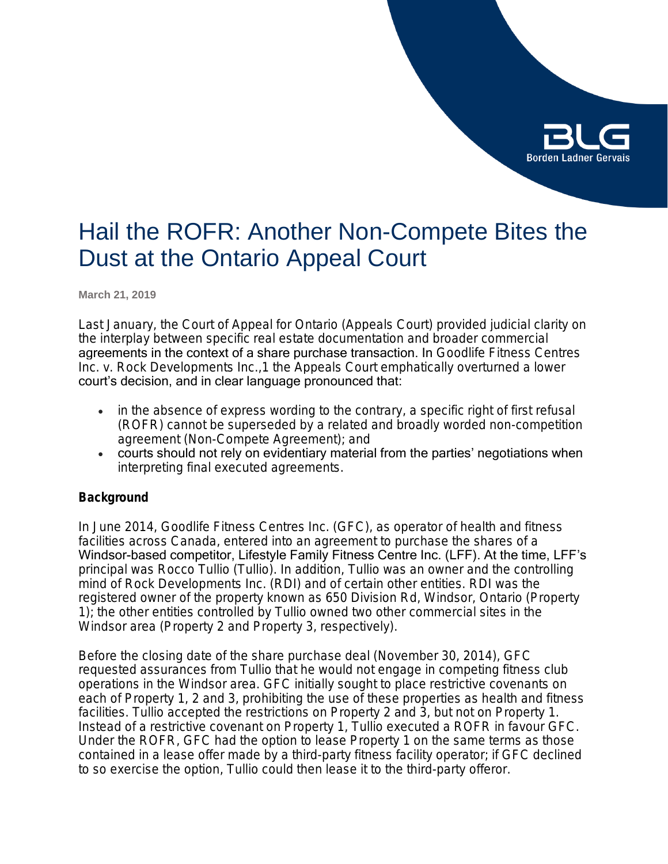

# Hail the ROFR: Another Non-Compete Bites the Dust at the Ontario Appeal Court

**March 21, 2019**

Last January, the Court of Appeal for Ontario (Appeals Court) provided judicial clarity on the interplay between specific real estate documentation and broader commercial agreements in the context of a share purchase transaction. In *Goodlife Fitness Centres Inc. v. Rock Developments Inc*.,1 the Appeals Court emphatically overturned a lower court's decision, and in clear language pronounced that:

- in the absence of express wording to the contrary, a specific right of first refusal (ROFR) cannot be superseded by a related and broadly worded non-competition agreement (Non-Compete Agreement); and
- courts should not rely on evidentiary material from the parties' negotiations when interpreting final executed agreements.

# **Background**

In June 2014, Goodlife Fitness Centres Inc. (GFC), as operator of health and fitness facilities across Canada, entered into an agreement to purchase the shares of a Windsor-based competitor, Lifestyle Family Fitness Centre Inc. (LFF). At the time, LFF's principal was Rocco Tullio (Tullio). In addition, Tullio was an owner and the controlling mind of Rock Developments Inc. (RDI) and of certain other entities. RDI was the registered owner of the property known as 650 Division Rd, Windsor, Ontario (Property 1); the other entities controlled by Tullio owned two other commercial sites in the Windsor area (Property 2 and Property 3, respectively).

Before the closing date of the share purchase deal (November 30, 2014), GFC requested assurances from Tullio that he would not engage in competing fitness club operations in the Windsor area. GFC initially sought to place restrictive covenants on each of Property 1, 2 and 3, prohibiting the use of these properties as health and fitness facilities. Tullio accepted the restrictions on Property 2 and 3, but not on Property 1. Instead of a restrictive covenant on Property 1, Tullio executed a ROFR in favour GFC. Under the ROFR, GFC had the option to lease Property 1 on the same terms as those contained in a lease offer made by a third-party fitness facility operator; if GFC declined to so exercise the option, Tullio could then lease it to the third-party offeror.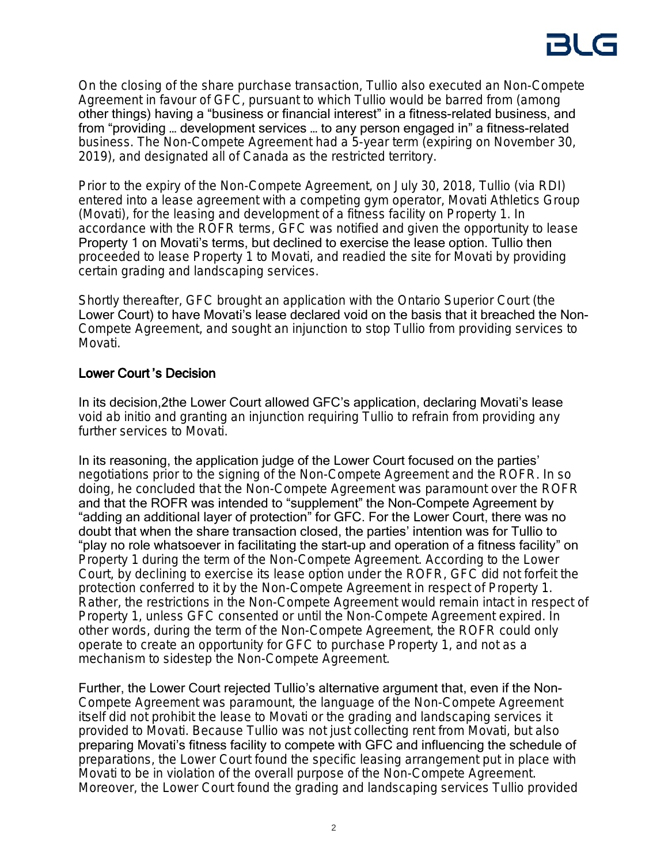On the closing of the share purchase transaction, Tullio also executed an Non-Compete Agreement in favour of GFC, pursuant to which Tullio would be barred from (among other things) having a "business or financial interest" in a fitness-related business, and from "providing … development services … to any person engaged in" a fitness-related business. The Non-Compete Agreement had a 5-year term (expiring on November 30, 2019), and designated all of Canada as the restricted territory.

Prior to the expiry of the Non-Compete Agreement, on July 30, 2018, Tullio (via RDI) entered into a lease agreement with a competing gym operator, Movati Athletics Group (Movati), for the leasing and development of a fitness facility on Property 1. In accordance with the ROFR terms, GFC was notified and given the opportunity to lease Property 1 on Movati's terms, but declined to exercise the lease option. Tullio then proceeded to lease Property 1 to Movati, and readied the site for Movati by providing certain grading and landscaping services.

Shortly thereafter, GFC brought an application with the Ontario Superior Court (the Lower Court) to have Movati's lease declared void on the basis that it breached the Non-Compete Agreement, and sought an injunction to stop Tullio from providing services to Movati.

# Lower Court 's Decision

In its decision,2the Lower Court allowed GFC's application, declaring Movati's lease void *ab initio* and granting an injunction requiring Tullio to refrain from providing any further services to Movati.

In its reasoning, the application judge of the Lower Court focused on the parties' negotiations prior to the signing of the Non-Compete Agreement and the ROFR. In so doing, he concluded that the Non-Compete Agreement was paramount over the ROFR and that the ROFR was intended to "supplement" the Non-Compete Agreement by "adding an additional layer of protection" for GFC. For the Lower Court, there was no doubt that when the share transaction closed, the parties' intention was for Tullio to "play no role whatsoever in facilitating the start-up and operation of a fitness facility" on Property 1 during the term of the Non-Compete Agreement. According to the Lower Court, by declining to exercise its lease option under the ROFR, GFC did not forfeit the protection conferred to it by the Non-Compete Agreement in respect of Property 1. Rather, the restrictions in the Non-Compete Agreement would remain intact in respect of Property 1, unless GFC consented or until the Non-Compete Agreement expired. In other words, during the term of the Non-Compete Agreement, the ROFR could only operate to create an opportunity for GFC to purchase Property 1, and not as a mechanism to sidestep the Non-Compete Agreement.

Further, the Lower Court rejected Tullio's alternative argument that, even if the Non-Compete Agreement was paramount, the language of the Non-Compete Agreement itself did not prohibit the lease to Movati or the grading and landscaping services it provided to Movati. Because Tullio was not just collecting rent from Movati, but also preparing Movati's fitness facility to compete with GFC and influencing the schedule of preparations, the Lower Court found the specific leasing arrangement put in place with Movati to be in violation of the overall purpose of the Non-Compete Agreement. Moreover, the Lower Court found the grading and landscaping services Tullio provided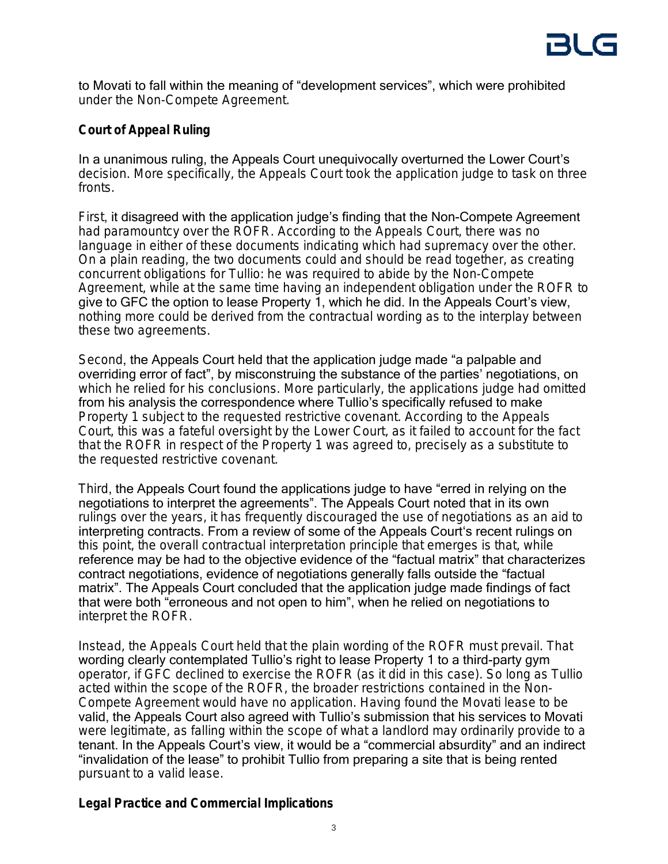to Movati to fall within the meaning of "development services", which were prohibited under the Non-Compete Agreement.

# **Court of Appeal Ruling**

In a unanimous ruling, the Appeals Court unequivocally overturned the Lower Court's decision. More specifically, the Appeals Court took the application judge to task on three fronts.

First, it disagreed with the application judge's finding that the Non-Compete Agreement had paramountcy over the ROFR. According to the Appeals Court, there was no language in either of these documents indicating which had supremacy over the other. On a plain reading, the two documents could and should be read together, as creating concurrent obligations for Tullio: he was required to abide by the Non-Compete Agreement, while at the same time having an independent obligation under the ROFR to give to GFC the option to lease Property 1, which he did. In the Appeals Court's view, nothing more could be derived from the contractual wording as to the interplay between these two agreements.

Second, the Appeals Court held that the application judge made "a palpable and overriding error of fact", by misconstruing the substance of the parties' negotiations, on which he relied for his conclusions. More particularly, the applications judge had omitted from his analysis the correspondence where Tullio's specifically refused to make Property 1 subject to the requested restrictive covenant. According to the Appeals Court, this was a fateful oversight by the Lower Court, as it failed to account for the fact that the ROFR in respect of the Property 1 was agreed to, precisely as a substitute to the requested restrictive covenant.

Third, the Appeals Court found the applications judge to have "erred in relying on the negotiations to interpret the agreements". The Appeals Court noted that in its own rulings over the years, it has frequently discouraged the use of negotiations as an aid to interpreting contracts. From a review of some of the Appeals Court's recent rulings on this point, the overall contractual interpretation principle that emerges is that, while reference may be had to the objective evidence of the "factual matrix" that characterizes contract negotiations, evidence of negotiations generally falls outside the "factual matrix". The Appeals Court concluded that the application judge made findings of fact that were both "erroneous and not open to him", when he relied on negotiations to interpret the ROFR.

Instead, the Appeals Court held that the plain wording of the ROFR must prevail. That wording clearly contemplated Tullio's right to lease Property 1 to a third-party gym operator, if GFC declined to exercise the ROFR (as it did in this case). So long as Tullio acted within the scope of the ROFR, the broader restrictions contained in the Non-Compete Agreement would have no application. Having found the Movati lease to be valid, the Appeals Court also agreed with Tullio's submission that his services to Movati were legitimate, as falling within the scope of what a landlord may ordinarily provide to a tenant. In the Appeals Court's view, it would be a "commercial absurdity" and an indirect "invalidation of the lease" to prohibit Tullio from preparing a site that is being rented pursuant to a valid lease.

# **Legal Practice and Commercial Implications**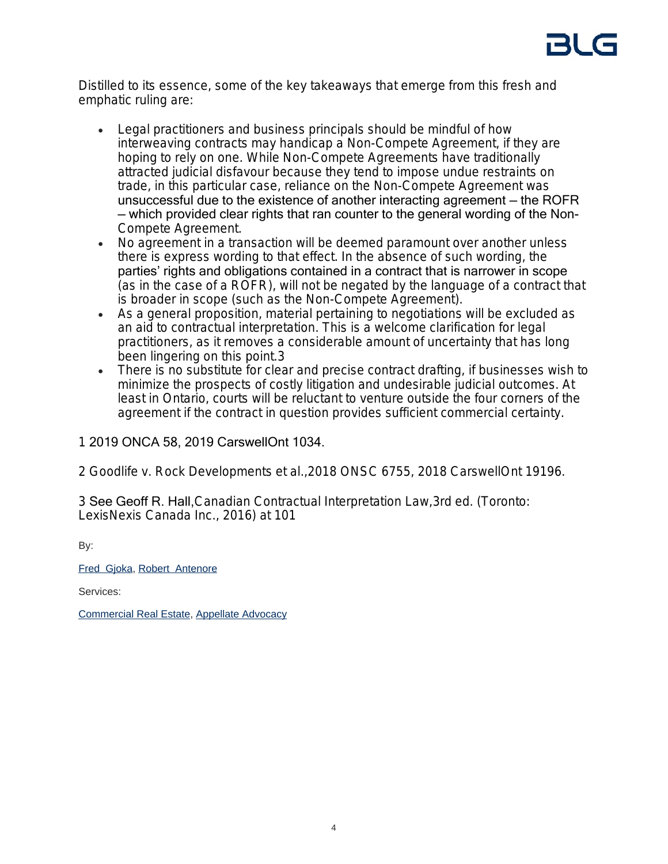

Distilled to its essence, some of the key takeaways that emerge from this fresh and emphatic ruling are:

- Legal practitioners and business principals should be mindful of how interweaving contracts may handicap a Non-Compete Agreement, if they are hoping to rely on one. While Non-Compete Agreements have traditionally attracted judicial disfavour because they tend to impose undue restraints on trade, in this particular case, reliance on the Non-Compete Agreement was unsuccessful due to the existence of another interacting agreement — the ROFR — which provided clear rights that ran counter to the general wording of the Non-Compete Agreement.
- No agreement in a transaction will be deemed paramount over another unless there is express wording to that effect. In the absence of such wording, the parties' rights and obligations contained in a contract that is narrower in scope (as in the case of a ROFR), will not be negated by the language of a contract that is broader in scope (such as the Non-Compete Agreement).
- As a general proposition, material pertaining to negotiations will be excluded as an aid to contractual interpretation. This is a welcome clarification for legal practitioners, as it removes a considerable amount of uncertainty that has long been lingering on this point.3
- There is no substitute for clear and precise contract drafting, if businesses wish to minimize the prospects of costly litigation and undesirable judicial outcomes. At least in Ontario, courts will be reluctant to venture outside the four corners of the agreement if the contract in question provides sufficient commercial certainty.

# 1 2019 ONCA 58, 2019 CarswellOnt 1034.

2 *Goodlife v. Rock Developments et al.,*2018 ONSC 6755, 2018 CarswellOnt 19196.

3 See Geoff R. Hall,*Canadian Contractual Interpretation Law,*3rd ed. (Toronto: LexisNexis Canada Inc., 2016) at 101

By:

## [Fred Gjoka,](https://www.blg.com/en/people/_deactive/g/gjoka-fred) [Robert Antenore](https://www.blg.com/en/people/a/antenore-robert)

Services:

[Commercial Real Estate](https://www.blg.com/en/services/practice-areas/commercial-real-estate), [Appellate Advocacy](https://www.blg.com/en/services/practice-areas/disputes/appellate-advocacy)